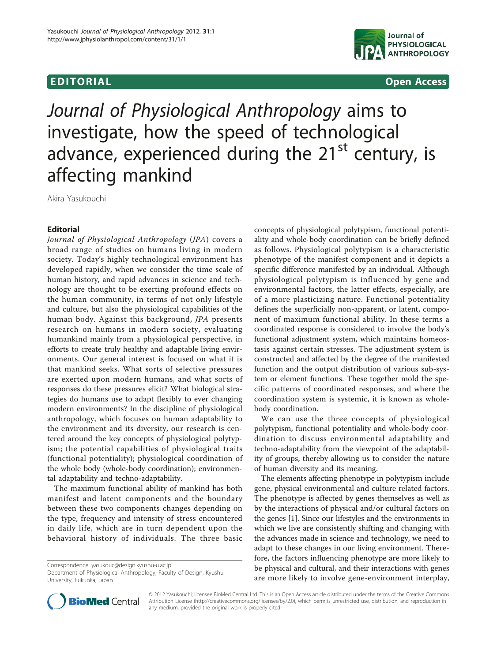# **EDITORIAL** CONTROL CONTROL CONTROL CONTROL CONTROL CONTROL CONTROL CONTROL CONTROL CONTROL CONTROL CONTROL CONTROL CONTROL CONTROL CONTROL CONTROL CONTROL CONTROL CONTROL CONTROL CONTROL CONTROL CONTROL CONTROL CONTROL CO



# Journal of Physiological Anthropology aims to investigate, how the speed of technological advance, experienced during the  $21<sup>st</sup>$  century, is affecting mankind

Akira Yasukouchi

## Editorial

Journal of Physiological Anthropology (JPA) covers a broad range of studies on humans living in modern society. Today's highly technological environment has developed rapidly, when we consider the time scale of human history, and rapid advances in science and technology are thought to be exerting profound effects on the human community, in terms of not only lifestyle and culture, but also the physiological capabilities of the human body. Against this background, JPA presents research on humans in modern society, evaluating humankind mainly from a physiological perspective, in efforts to create truly healthy and adaptable living environments. Our general interest is focused on what it is that mankind seeks. What sorts of selective pressures are exerted upon modern humans, and what sorts of responses do these pressures elicit? What biological strategies do humans use to adapt flexibly to ever changing modern environments? In the discipline of physiological anthropology, which focuses on human adaptability to the environment and its diversity, our research is centered around the key concepts of physiological polytypism; the potential capabilities of physiological traits (functional potentiality); physiological coordination of the whole body (whole-body coordination); environmental adaptability and techno-adaptability.

The maximum functional ability of mankind has both manifest and latent components and the boundary between these two components changes depending on the type, frequency and intensity of stress encountered in daily life, which are in turn dependent upon the behavioral history of individuals. The three basic

Correspondence: [yasukouc@design.kyushu-u.ac.jp](mailto:yasukouc@design.kyushu-u.ac.jp)

Department of Physiological Anthropology, Faculty of Design, Kyushu University, Fukuoka, Japan

concepts of physiological polytypism, functional potentiality and whole-body coordination can be briefly defined as follows. Physiological polytypism is a characteristic phenotype of the manifest component and it depicts a specific difference manifested by an individual. Although physiological polytypism is influenced by gene and environmental factors, the latter effects, especially, are of a more plasticizing nature. Functional potentiality defines the superficially non-apparent, or latent, component of maximum functional ability. In these terms a coordinated response is considered to involve the body's functional adjustment system, which maintains homeostasis against certain stresses. The adjustment system is constructed and affected by the degree of the manifested function and the output distribution of various sub-system or element functions. These together mold the specific patterns of coordinated responses, and where the coordination system is systemic, it is known as wholebody coordination.

We can use the three concepts of physiological polytypism, functional potentiality and whole-body coordination to discuss environmental adaptability and techno-adaptability from the viewpoint of the adaptability of groups, thereby allowing us to consider the nature of human diversity and its meaning.

The elements affecting phenotype in polytypism include gene, physical environmental and culture related factors. The phenotype is affected by genes themselves as well as by the interactions of physical and/or cultural factors on the genes [[1](#page-1-0)]. Since our lifestyles and the environments in which we live are consistently shifting and changing with the advances made in science and technology, we need to adapt to these changes in our living environment. Therefore, the factors influencing phenotype are more likely to be physical and cultural, and their interactions with genes are more likely to involve gene-environment interplay,



© 2012 Yasukouchi; licensee BioMed Central Ltd. This is an Open Access article distributed under the terms of the Creative Commons Attribution License [\(http://creativecommons.org/licenses/by/2.0](http://creativecommons.org/licenses/by/2.0)), which permits unrestricted use, distribution, and reproduction in any medium, provided the original work is properly cited.